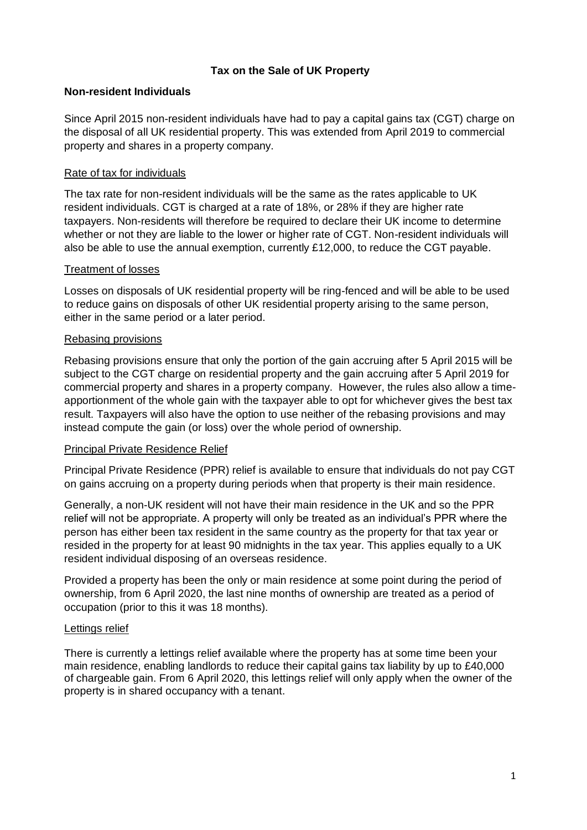## **Tax on the Sale of UK Property**

## **Non-resident Individuals**

Since April 2015 non-resident individuals have had to pay a capital gains tax (CGT) charge on the disposal of all UK residential property. This was extended from April 2019 to commercial property and shares in a property company.

## Rate of tax for individuals

The tax rate for non-resident individuals will be the same as the rates applicable to UK resident individuals. CGT is charged at a rate of 18%, or 28% if they are higher rate taxpayers. Non-residents will therefore be required to declare their UK income to determine whether or not they are liable to the lower or higher rate of CGT. Non-resident individuals will also be able to use the annual exemption, currently £12,000, to reduce the CGT payable.

### Treatment of losses

Losses on disposals of UK residential property will be ring-fenced and will be able to be used to reduce gains on disposals of other UK residential property arising to the same person, either in the same period or a later period.

### Rebasing provisions

Rebasing provisions ensure that only the portion of the gain accruing after 5 April 2015 will be subject to the CGT charge on residential property and the gain accruing after 5 April 2019 for commercial property and shares in a property company. However, the rules also allow a timeapportionment of the whole gain with the taxpayer able to opt for whichever gives the best tax result. Taxpayers will also have the option to use neither of the rebasing provisions and may instead compute the gain (or loss) over the whole period of ownership.

## Principal Private Residence Relief

Principal Private Residence (PPR) relief is available to ensure that individuals do not pay CGT on gains accruing on a property during periods when that property is their main residence.

Generally, a non-UK resident will not have their main residence in the UK and so the PPR relief will not be appropriate. A property will only be treated as an individual's PPR where the person has either been tax resident in the same country as the property for that tax year or resided in the property for at least 90 midnights in the tax year. This applies equally to a UK resident individual disposing of an overseas residence.

Provided a property has been the only or main residence at some point during the period of ownership, from 6 April 2020, the last nine months of ownership are treated as a period of occupation (prior to this it was 18 months).

#### Lettings relief

There is currently a lettings relief available where the property has at some time been your main residence, enabling landlords to reduce their capital gains tax liability by up to £40,000 of chargeable gain. From 6 April 2020, this lettings relief will only apply when the owner of the property is in shared occupancy with a tenant.